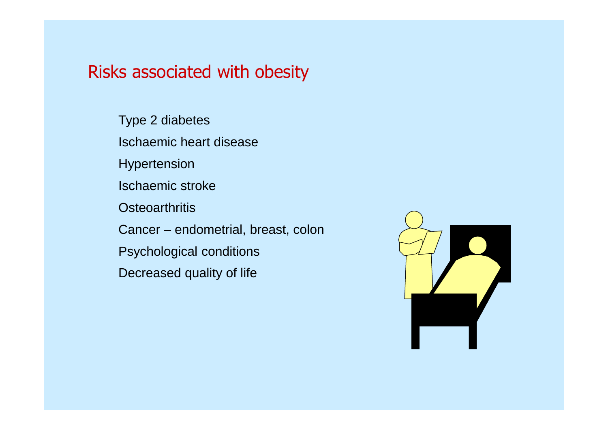# Risks associated with obesity

Type 2 diabetes Ischaemic heart disease Hypertension Ischaemic stroke **Osteoarthritis** Cancer – endometrial, breast, colon Psychological conditions Decreased quality of life

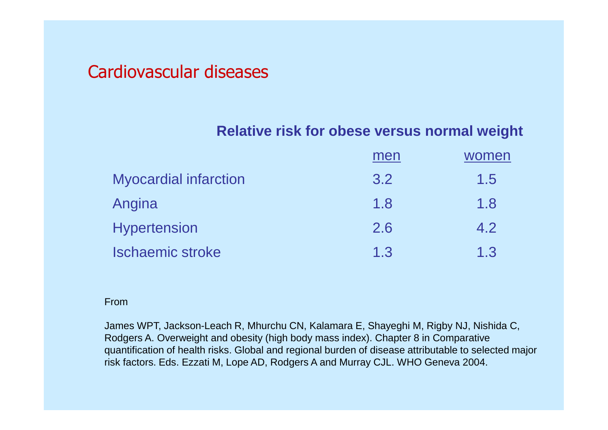# Cardiovascular diseases

### **Relative risk for obese versus normal weight**

|                              | men | women |
|------------------------------|-----|-------|
| <b>Myocardial infarction</b> | 3.2 | 1.5   |
| Angina                       | 1.8 | 1.8   |
| <b>Hypertension</b>          | 2.6 | 4.2   |
| <b>Ischaemic stroke</b>      | 1.3 | 1.3   |

#### From

James WPT, Jackson-Leach R, Mhurchu CN, Kalamara E, Shayeghi M, Rigby NJ, Nishida C, Rodgers A. Overweight and obesity (high body mass index). Chapter 8 in Comparative quantification of health risks. Global and regional burden of disease attributable to selected major risk factors. Eds. Ezzati M, Lope AD, Rodgers A and Murray CJL. WHO Geneva 2004.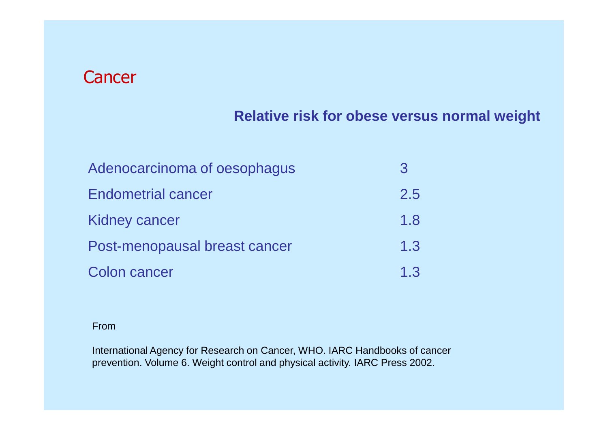# **Cancer**

## **Relative risk for obese versus normal weight**

| Adenocarcinoma of oesophagus  | 3   |
|-------------------------------|-----|
| <b>Endometrial cancer</b>     | 2.5 |
| <b>Kidney cancer</b>          | 1.8 |
| Post-menopausal breast cancer | 1.3 |
| <b>Colon cancer</b>           | 1.3 |

#### From

International Agency for Research on Cancer, WHO. IARC Handbooks of cancer prevention. Volume 6. Weight control and physical activity. IARC Press 2002.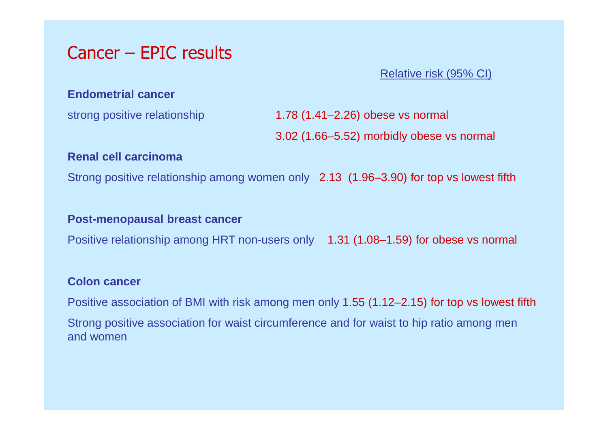# Cancer – EPIC results

### Relative risk (95% CI)

#### **Endometrial cancer**

strong positive relationship 1.78 (1.41–2.26) obese vs normal

3.02 (1.66–5.52) morbidly obese vs normal

#### **Renal cell carcinoma**

Strong positive relationship among women only 2.13 (1.96–3.90) for top vs lowest fifth

### **Post-menopausal breast cancer**

Positive relationship among HRT non-users only 1.31 (1.08–1.59) for obese vs normal

### **Colon cancer**

Positive association of BMI with risk among men only 1.55 (1.12–2.15) for top vs lowest fifth Strong positive association for waist circumference and for waist to hip ratio among men and women